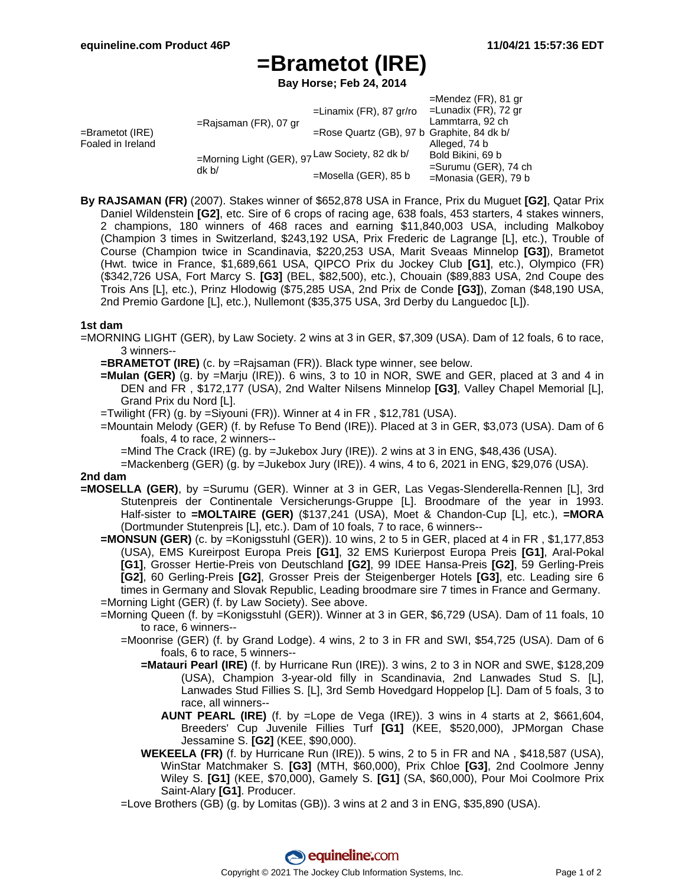## **=Brametot (IRE)**

**Bay Horse; Feb 24, 2014**

|                                         |                                                         |                                            | $=$ Mendez (FR), 81 gr  |
|-----------------------------------------|---------------------------------------------------------|--------------------------------------------|-------------------------|
| $=$ Brametot (IRE)<br>Foaled in Ireland | $=$ Rajsaman (FR), 07 gr                                | $=$ Linamix (FR), 87 gr/ro                 | =Lunadix (FR), 72 gr    |
|                                         |                                                         |                                            | Lammtarra, 92 ch        |
|                                         |                                                         | =Rose Quartz (GB), 97 b Graphite, 84 dk b/ |                         |
|                                         |                                                         |                                            | Alleged, 74 b           |
|                                         | =Morning Light (GER), 97 Law Society, 82 dk b/<br>dk b/ |                                            | Bold Bikini, 69 b       |
|                                         |                                                         | $=$ Mosella (GER), 85 b                    | $=$ Surumu (GER), 74 ch |
|                                         |                                                         |                                            | =Monasia (GER), 79 b    |

**By RAJSAMAN (FR)** (2007). Stakes winner of \$652,878 USA in France, Prix du Muguet **[G2]**, Qatar Prix Daniel Wildenstein **[G2]**, etc. Sire of 6 crops of racing age, 638 foals, 453 starters, 4 stakes winners, 2 champions, 180 winners of 468 races and earning \$11,840,003 USA, including Malkoboy (Champion 3 times in Switzerland, \$243,192 USA, Prix Frederic de Lagrange [L], etc.), Trouble of Course (Champion twice in Scandinavia, \$220,253 USA, Marit Sveaas Minnelop **[G3]**), Brametot (Hwt. twice in France, \$1,689,661 USA, QIPCO Prix du Jockey Club **[G1]**, etc.), Olympico (FR) (\$342,726 USA, Fort Marcy S. **[G3]** (BEL, \$82,500), etc.), Chouain (\$89,883 USA, 2nd Coupe des Trois Ans [L], etc.), Prinz Hlodowig (\$75,285 USA, 2nd Prix de Conde **[G3]**), Zoman (\$48,190 USA, 2nd Premio Gardone [L], etc.), Nullemont (\$35,375 USA, 3rd Derby du Languedoc [L]).

## **1st dam**

=MORNING LIGHT (GER), by Law Society. 2 wins at 3 in GER, \$7,309 (USA). Dam of 12 foals, 6 to race, 3 winners--

- **=BRAMETOT (IRE)** (c. by =Rajsaman (FR)). Black type winner, see below.
- **=Mulan (GER)** (g. by =Marju (IRE)). 6 wins, 3 to 10 in NOR, SWE and GER, placed at 3 and 4 in DEN and FR , \$172,177 (USA), 2nd Walter Nilsens Minnelop **[G3]**, Valley Chapel Memorial [L], Grand Prix du Nord [L].
- =Twilight (FR) (g. by =Siyouni (FR)). Winner at 4 in FR , \$12,781 (USA).
- =Mountain Melody (GER) (f. by Refuse To Bend (IRE)). Placed at 3 in GER, \$3,073 (USA). Dam of 6 foals, 4 to race, 2 winners--

=Mind The Crack (IRE) (g. by =Jukebox Jury (IRE)). 2 wins at 3 in ENG, \$48,436 (USA).

=Mackenberg (GER) (g. by =Jukebox Jury (IRE)). 4 wins, 4 to 6, 2021 in ENG, \$29,076 (USA).

## **2nd dam**

- **=MOSELLA (GER)**, by =Surumu (GER). Winner at 3 in GER, Las Vegas-Slenderella-Rennen [L], 3rd Stutenpreis der Continentale Versicherungs-Gruppe [L]. Broodmare of the year in 1993. Half-sister to **=MOLTAIRE (GER)** (\$137,241 (USA), Moet & Chandon-Cup [L], etc.), **=MORA** (Dortmunder Stutenpreis [L], etc.). Dam of 10 foals, 7 to race, 6 winners--
	- **=MONSUN (GER)** (c. by =Konigsstuhl (GER)). 10 wins, 2 to 5 in GER, placed at 4 in FR , \$1,177,853 (USA), EMS Kureirpost Europa Preis **[G1]**, 32 EMS Kurierpost Europa Preis **[G1]**, Aral-Pokal **[G1]**, Grosser Hertie-Preis von Deutschland **[G2]**, 99 IDEE Hansa-Preis **[G2]**, 59 Gerling-Preis **[G2]**, 60 Gerling-Preis **[G2]**, Grosser Preis der Steigenberger Hotels **[G3]**, etc. Leading sire 6 times in Germany and Slovak Republic, Leading broodmare sire 7 times in France and Germany. =Morning Light (GER) (f. by Law Society). See above.
	- =Morning Queen (f. by =Konigsstuhl (GER)). Winner at 3 in GER, \$6,729 (USA). Dam of 11 foals, 10 to race, 6 winners--
		- =Moonrise (GER) (f. by Grand Lodge). 4 wins, 2 to 3 in FR and SWI, \$54,725 (USA). Dam of 6 foals, 6 to race, 5 winners--
			- **=Matauri Pearl (IRE)** (f. by Hurricane Run (IRE)). 3 wins, 2 to 3 in NOR and SWE, \$128,209 (USA), Champion 3-year-old filly in Scandinavia, 2nd Lanwades Stud S. [L], Lanwades Stud Fillies S. [L], 3rd Semb Hovedgard Hoppelop [L]. Dam of 5 foals, 3 to race, all winners--
				- **AUNT PEARL (IRE)** (f. by =Lope de Vega (IRE)). 3 wins in 4 starts at 2, \$661,604, Breeders' Cup Juvenile Fillies Turf **[G1]** (KEE, \$520,000), JPMorgan Chase Jessamine S. **[G2]** (KEE, \$90,000).
			- **WEKEELA (FR)** (f. by Hurricane Run (IRE)). 5 wins, 2 to 5 in FR and NA , \$418,587 (USA), WinStar Matchmaker S. **[G3]** (MTH, \$60,000), Prix Chloe **[G3]**, 2nd Coolmore Jenny Wiley S. **[G1]** (KEE, \$70,000), Gamely S. **[G1]** (SA, \$60,000), Pour Moi Coolmore Prix Saint-Alary **[G1]**. Producer.
		- =Love Brothers (GB) (g. by Lomitas (GB)). 3 wins at 2 and 3 in ENG, \$35,890 (USA).